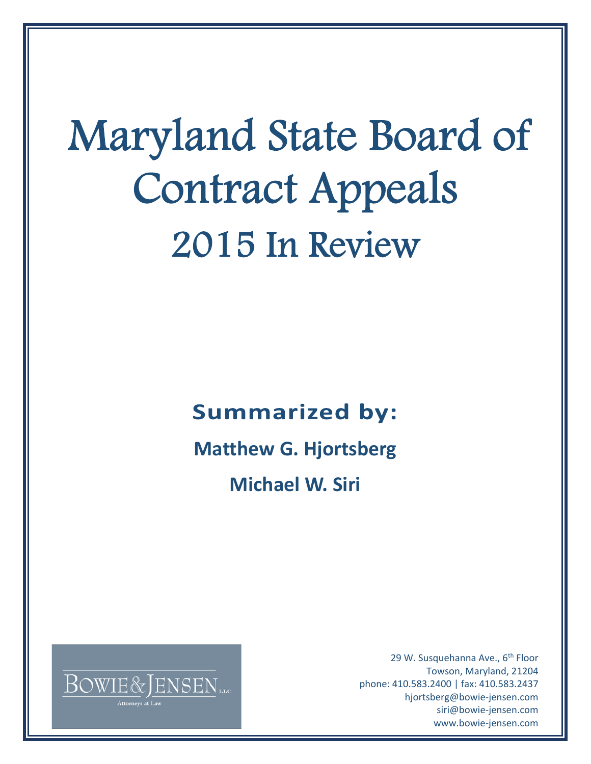# Maryland State Board of Contract Appeals 2015 In Review

## **Summarized by:**

**Matthew G. Hjortsberg** 

 **Michael W. Siri** 



29 W. Susquehanna Ave., 6<sup>th</sup> Floor Towson, Maryland, 21204 phone: 410.583.2400 | fax: 410.583.2437 hjortsberg@bowie-jensen.com siri@bowie-jensen.com www.bowie-jensen.com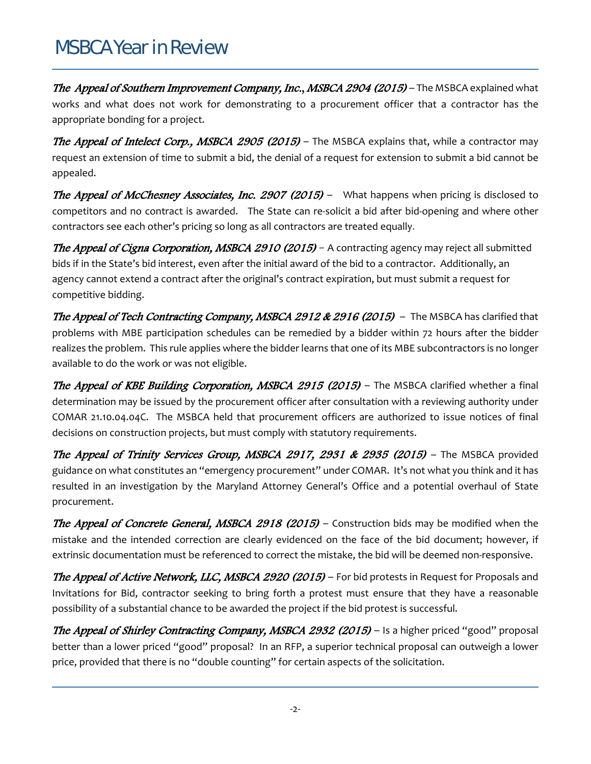### MSBCA Year in Review

The Appeal of Southern Improvement Company, Inc., MSBCA 2904 (2015) – The MSBCA explained what works and what does not work for demonstrating to a procurement officer that a contractor has the appropriate bonding for a project.

**The Appeal of Intelect Corp., MSBCA 2905 (2015)** – The MSBCA explains that, while a contractor may request an extension of time to submit a bid, the denial of a request for extension to submit a bid cannot be appealed.

**The Appeal of McChesney Associates, Inc. 2907 (2015)** – What happens when pricing is disclosed to competitors and no contract is awarded. The State can re-solicit a bid after bid-opening and where other contractors see each other's pricing so long as all contractors are treated equally.

The Appeal of Cigna Corporation, MSBCA 2910 (2015) - A contracting agency may reject all submitted bids if in the State's bid interest, even after the initial award of the bid to a contractor. Additionally, an agency cannot extend a contract after the original's contract expiration, but must submit a request for competitive bidding.

The Appeal of Tech Contracting Company, MSBCA 2912 & 2916 (2015) - The MSBCA has clarified that problems with MBE participation schedules can be remedied by a bidder within 72 hours after the bidder realizes the problem. This rule applies where the bidder learns that one of its MBE subcontractors is no longer available to do the work or was not eligible.

The Appeal of KBE Building Corporation, MSBCA 2915 (2015) - The MSBCA clarified whether a final determination may be issued by the procurement officer after consultation with a reviewing authority under COMAR 21.10.04.04C. The MSBCA held that procurement officers are authorized to issue notices of final decisions on construction projects, but must comply with statutory requirements.

The Appeal of Trinity Services Group, MSBCA 2917, 2931 & 2935 (2015)– The MSBCA provided guidance on what constitutes an "emergency procurement" under COMAR. It's not what you think and it has resulted in an investigation by the Maryland Attorney General's Office and a potential overhaul of State procurement.

**The Appeal of Concrete General, MSBCA 2918 (2015)** – Construction bids may be modified when the mistake and the intended correction are clearly evidenced on the face of the bid document; however, if extrinsic documentation must be referenced to correct the mistake, the bid will be deemed non-responsive.

**The Appeal of Active Network, LLC, MSBCA 2920 (2015)** – For bid protests in Request for Proposals and Invitations for Bid, contractor seeking to bring forth a protest must ensure that they have a reasonable possibility of a substantial chance to be awarded the project if the bid protest is successful.

The Appeal of Shirley Contracting Company, MSBCA 2932 (2015) – Is a higher priced "good" proposal better than a lower priced "good" proposal? In an RFP, a superior technical proposal can outweigh a lower price, provided that there is no "double counting" for certain aspects of the solicitation.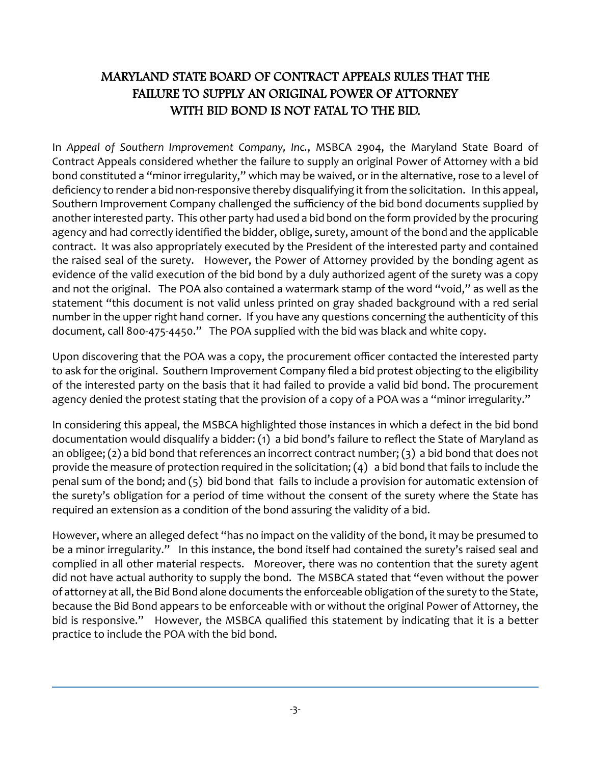#### MARYLAND STATE BOARD OF CONTRACT APPEALS RULES THAT THE FAILURE TO SUPPLY AN ORIGINAL POWER OF ATTORNEY WITH BID BOND IS NOT FATAL TO THE BID.

In *Appeal of Southern Improvement Company, Inc.*, MSBCA 2904, the Maryland State Board of Contract Appeals considered whether the failure to supply an original Power of Attorney with a bid bond constituted a "minor irregularity," which may be waived, or in the alternative, rose to a level of deficiency to render a bid non-responsive thereby disqualifying it from the solicitation. In this appeal, Southern Improvement Company challenged the sufficiency of the bid bond documents supplied by another interested party. This other party had used a bid bond on the form provided by the procuring agency and had correctly identified the bidder, oblige, surety, amount of the bond and the applicable contract. It was also appropriately executed by the President of the interested party and contained the raised seal of the surety. However, the Power of Attorney provided by the bonding agent as evidence of the valid execution of the bid bond by a duly authorized agent of the surety was a copy and not the original. The POA also contained a watermark stamp of the word "void," as well as the statement "this document is not valid unless printed on gray shaded background with a red serial number in the upper right hand corner. If you have any questions concerning the authenticity of this document, call 800‐475‐4450." The POA supplied with the bid was black and white copy.

Upon discovering that the POA was a copy, the procurement officer contacted the interested party to ask for the original. Southern Improvement Company filed a bid protest objecting to the eligibility of the interested party on the basis that it had failed to provide a valid bid bond. The procurement agency denied the protest stating that the provision of a copy of a POA was a "minor irregularity."

In considering this appeal, the MSBCA highlighted those instances in which a defect in the bid bond documentation would disqualify a bidder: (1) a bid bond's failure to reflect the State of Maryland as an obligee; (2) a bid bond that references an incorrect contract number; (3) a bid bond that does not provide the measure of protection required in the solicitation; (4) a bid bond that fails to include the penal sum of the bond; and (5) bid bond that fails to include a provision for automatic extension of the surety's obligation for a period of time without the consent of the surety where the State has required an extension as a condition of the bond assuring the validity of a bid.

However, where an alleged defect "has no impact on the validity of the bond, it may be presumed to be a minor irregularity." In this instance, the bond itself had contained the surety's raised seal and complied in all other material respects. Moreover, there was no contention that the surety agent did not have actual authority to supply the bond. The MSBCA stated that "even without the power of attorney at all, the Bid Bond alone documents the enforceable obligation of the surety to the State, because the Bid Bond appears to be enforceable with or without the original Power of Attorney, the bid is responsive." However, the MSBCA qualified this statement by indicating that it is a better practice to include the POA with the bid bond.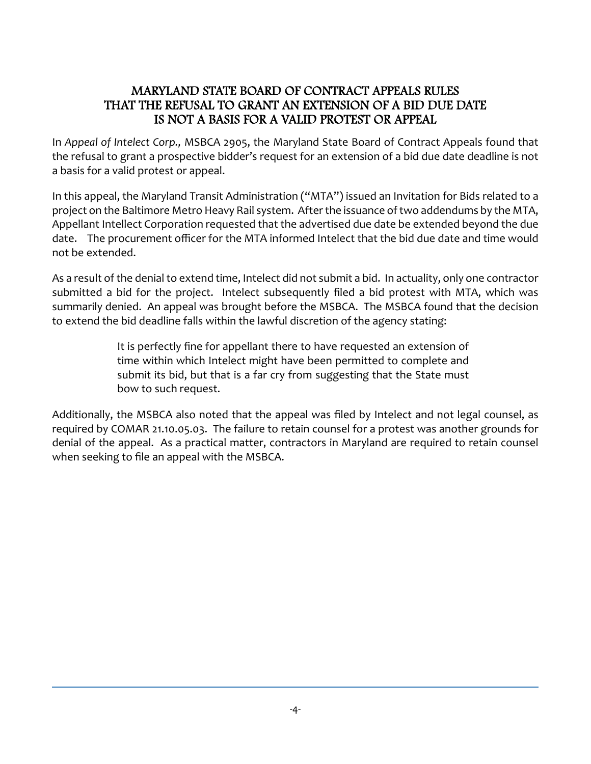#### MARYLAND STATE BOARD OF CONTRACT APPEALS RULES THAT THE REFUSAL TO GRANT AN EXTENSION OF A BID DUE DATE IS NOT A BASIS FOR A VALID PROTEST OR APPEAL

In *Appeal of Intelect Corp.,* MSBCA 2905, the Maryland State Board of Contract Appeals found that the refusal to grant a prospective bidder's request for an extension of a bid due date deadline is not a basis for a valid protest or appeal.

In this appeal, the Maryland Transit Administration ("MTA") issued an Invitation for Bids related to a project on the Baltimore Metro Heavy Rail system. Afterthe issuance oftwo addendums by the MTA, Appellant Intellect Corporation requested that the advertised due date be extended beyond the due date. The procurement officer for the MTA informed Intelect that the bid due date and time would not be extended.

As a result of the denial to extend time, Intelect did not submit a bid. In actuality, only one contractor submitted a bid for the project. Intelect subsequently filed a bid protest with MTA, which was summarily denied. An appeal was brought before the MSBCA. The MSBCA found that the decision to extend the bid deadline falls within the lawful discretion of the agency stating:

> It is perfectly fine for appellant there to have requested an extension of time within which Intelect might have been permitted to complete and submit its bid, but that is a far cry from suggesting that the State must bow to such request.

Additionally, the MSBCA also noted that the appeal was filed by Intelect and not legal counsel, as required by COMAR 21.10.05.03. The failure to retain counsel for a protest was another grounds for denial of the appeal. As a practical matter, contractors in Maryland are required to retain counsel when seeking to file an appeal with the MSBCA.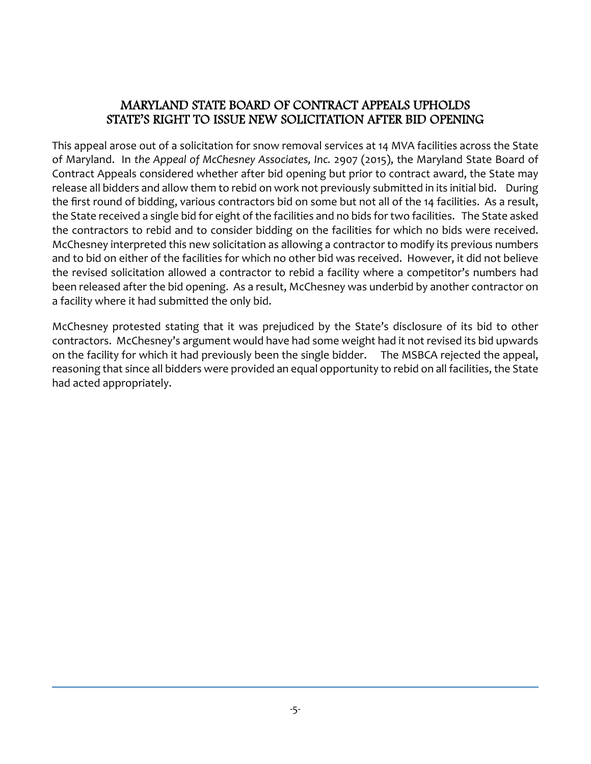#### MARYLAND STATE BOARD OF CONTRACT APPEALS UPHOLDS STATE'S RIGHT TO ISSUE NEW SOLICITATION AFTER BID OPENING

This appeal arose out of a solicitation for snow removal services at 14 MVA facilities across the State of Maryland. In *the Appeal of McChesney Associates, Inc.* 2907 (2015), the Maryland State Board of Contract Appeals considered whether after bid opening but prior to contract award, the State may release all bidders and allow them to rebid on work not previously submitted in its initial bid. During the first round of bidding, various contractors bid on some but not all of the 14 facilities. As a result, the State received a single bid for eight of the facilities and no bids for two facilities. The State asked the contractors to rebid and to consider bidding on the facilities for which no bids were received. McChesney interpreted this new solicitation as allowing a contractor to modify its previous numbers and to bid on either of the facilities for which no other bid was received. However, it did not believe the revised solicitation allowed a contractor to rebid a facility where a competitor's numbers had been released after the bid opening. As a result, McChesney was underbid by another contractor on a facility where it had submitted the only bid.

McChesney protested stating that it was prejudiced by the State's disclosure of its bid to other contractors. McChesney's argument would have had some weight had it not revised its bid upwards on the facility for which it had previously been the single bidder. The MSBCA rejected the appeal, reasoning that since all bidders were provided an equal opportunity to rebid on all facilities, the State had acted appropriately.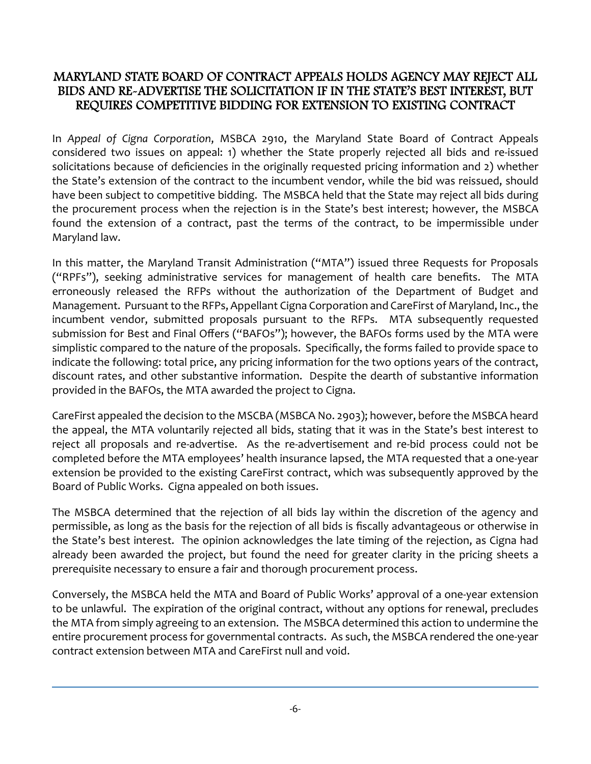#### MARYLAND STATE BOARD OF CONTRACT APPEALS HOLDS AGENCY MAY REJECT ALL BIDS AND RE-ADVERTISE THE SOLICITATION IF IN THE STATE'S BEST INTEREST, BUT REQUIRES COMPETITIVE BIDDING FOR EXTENSION TO EXISTING CONTRACT

In *Appeal of Cigna Corporation*, MSBCA 2910, the Maryland State Board of Contract Appeals considered two issues on appeal: 1) whether the State properly rejected all bids and re‐issued solicitations because of deficiencies in the originally requested pricing information and 2) whether the State's extension of the contract to the incumbent vendor, while the bid was reissued, should have been subject to competitive bidding. The MSBCA held that the State may reject all bids during the procurement process when the rejection is in the State's best interest; however, the MSBCA found the extension of a contract, past the terms of the contract, to be impermissible under Maryland law.

In this matter, the Maryland Transit Administration ("MTA") issued three Requests for Proposals ("RPFs"), seeking administrative services for management of health care benefits. The MTA erroneously released the RFPs without the authorization of the Department of Budget and Management. Pursuant to the RFPs, Appellant Cigna Corporation and CareFirst of Maryland, Inc., the incumbent vendor, submitted proposals pursuant to the RFPs. MTA subsequently requested submission for Best and Final Offers ("BAFOs"); however, the BAFOs forms used by the MTA were simplistic compared to the nature of the proposals. Specifically, the forms failed to provide space to indicate the following: total price, any pricing information for the two options years of the contract, discount rates, and other substantive information. Despite the dearth of substantive information provided in the BAFOs, the MTA awarded the project to Cigna.

CareFirst appealed the decision to the MSCBA (MSBCA No. 2903); however, before the MSBCA heard the appeal, the MTA voluntarily rejected all bids, stating that it was in the State's best interest to reject all proposals and re-advertise. As the re-advertisement and re-bid process could not be completed before the MTA employees' health insurance lapsed, the MTA requested that a one‐year extension be provided to the existing CareFirst contract, which was subsequently approved by the Board of Public Works. Cigna appealed on both issues.

The MSBCA determined that the rejection of all bids lay within the discretion of the agency and permissible, as long as the basis for the rejection of all bids is fiscally advantageous or otherwise in the State's best interest. The opinion acknowledges the late timing of the rejection, as Cigna had already been awarded the project, but found the need for greater clarity in the pricing sheets a prerequisite necessary to ensure a fair and thorough procurement process.

Conversely, the MSBCA held the MTA and Board of Public Works' approval of a one‐year extension to be unlawful. The expiration of the original contract, without any options for renewal, precludes the MTA from simply agreeing to an extension. The MSBCA determined this action to undermine the entire procurement process for governmental contracts. As such, the MSBCA rendered the one‐year contract extension between MTA and CareFirst null and void.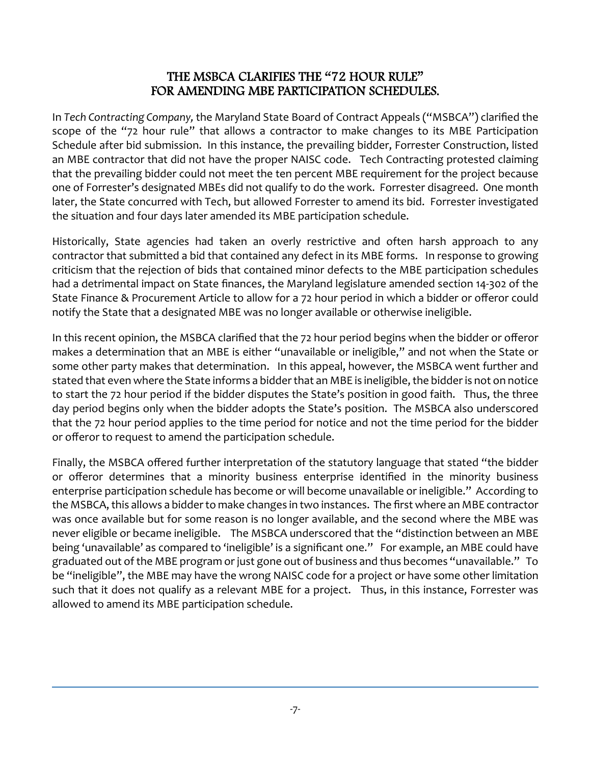#### THE MSBCA CLARIFIES THE "72 HOUR RULE" FOR AMENDING MBE PARTICIPATION SCHEDULES.

In *Tech Contracting Company,* the Maryland State Board of Contract Appeals ("MSBCA") clarified the scope of the "72 hour rule" that allows a contractor to make changes to its MBE Participation Schedule after bid submission. In this instance, the prevailing bidder, Forrester Construction, listed an MBE contractor that did not have the proper NAISC code. Tech Contracting protested claiming that the prevailing bidder could not meet the ten percent MBE requirement for the project because one of Forrester's designated MBEs did not qualify to do the work. Forrester disagreed. One month later, the State concurred with Tech, but allowed Forrester to amend its bid. Forrester investigated the situation and four days later amended its MBE participation schedule.

Historically, State agencies had taken an overly restrictive and often harsh approach to any contractor that submitted a bid that contained any defect in its MBE forms. In response to growing criticism that the rejection of bids that contained minor defects to the MBE participation schedules had a detrimental impact on State finances, the Maryland legislature amended section 14‐302 of the State Finance & Procurement Article to allow for a 72 hour period in which a bidder or offeror could notify the State that a designated MBE was no longer available or otherwise ineligible.

In this recent opinion, the MSBCA clarified that the 72 hour period begins when the bidder or offeror makes a determination that an MBE is either "unavailable or ineligible," and not when the State or some other party makes that determination. In this appeal, however, the MSBCA went further and stated that even where the State informs a bidder that an MBE is ineligible, the bidder is not on notice to start the 72 hour period if the bidder disputes the State's position in good faith. Thus, the three day period begins only when the bidder adopts the State's position. The MSBCA also underscored that the 72 hour period applies to the time period for notice and not the time period for the bidder or offeror to request to amend the participation schedule.

Finally, the MSBCA offered further interpretation of the statutory language that stated "the bidder or offeror determines that a minority business enterprise identified in the minority business enterprise participation schedule has become or will become unavailable or ineligible." According to the MSBCA, this allows a bidder to make changes in two instances. The first where an MBE contractor was once available but for some reason is no longer available, and the second where the MBE was never eligible or became ineligible. The MSBCA underscored that the "distinction between an MBE being 'unavailable' as compared to 'ineligible' is a significant one." For example, an MBE could have graduated out of the MBE program or just gone out of business and thus becomes "unavailable." To be "ineligible", the MBE may have the wrong NAISC code for a project or have some other limitation such that it does not qualify as a relevant MBE for a project. Thus, in this instance, Forrester was allowed to amend its MBE participation schedule.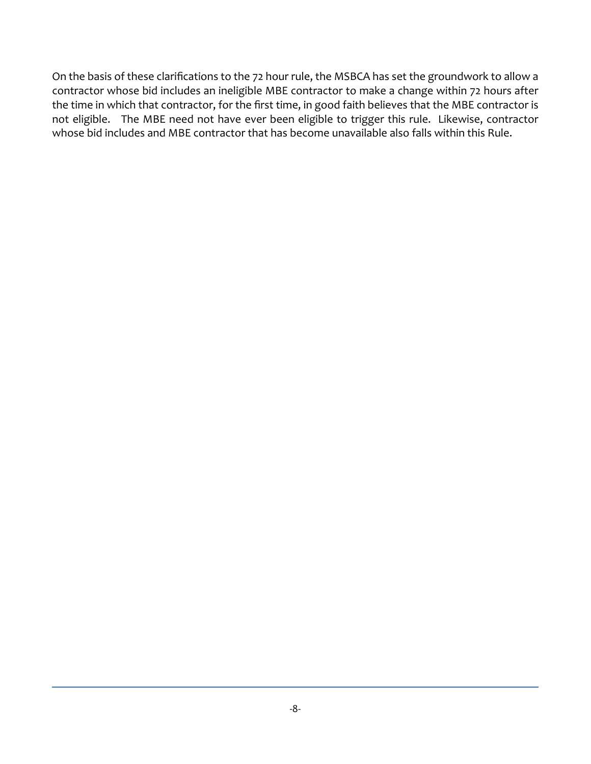On the basis of these clarifications to the 72 hour rule, the MSBCA has set the groundwork to allow a contractor whose bid includes an ineligible MBE contractor to make a change within 72 hours after the time in which that contractor, for the first time, in good faith believes that the MBE contractor is not eligible. The MBE need not have ever been eligible to trigger this rule. Likewise, contractor whose bid includes and MBE contractor that has become unavailable also falls within this Rule.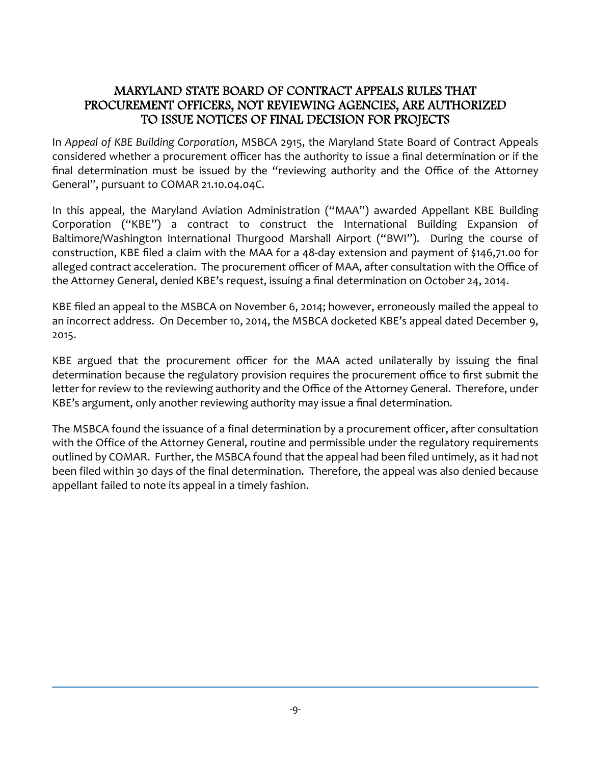#### MARYLAND STATE BOARD OF CONTRACT APPEALS RULES THAT PROCUREMENT OFFICERS, NOT REVIEWING AGENCIES, ARE AUTHORIZED TO ISSUE NOTICES OF FINAL DECISION FOR PROJECTS

In *Appeal of KBE Building Corporation*, MSBCA 2915, the Maryland State Board of Contract Appeals considered whether a procurement officer has the authority to issue a final determination or if the final determination must be issued by the "reviewing authority and the Office of the Attorney General", pursuant to COMAR 21.10.04.04C.

In this appeal, the Maryland Aviation Administration ("MAA") awarded Appellant KBE Building Corporation ("KBE") a contract to construct the International Building Expansion of Baltimore/Washington International Thurgood Marshall Airport ("BWI"). During the course of construction, KBE filed a claim with the MAA for a 48‐day extension and payment of \$146,71.00 for alleged contract acceleration. The procurement officer of MAA, after consultation with the Office of the Attorney General, denied KBE's request, issuing a final determination on October 24, 2014.

KBE filed an appeal to the MSBCA on November 6, 2014; however, erroneously mailed the appeal to an incorrect address. On December 10, 2014, the MSBCA docketed KBE's appeal dated December 9, 2015.

KBE argued that the procurement officer for the MAA acted unilaterally by issuing the final determination because the regulatory provision requires the procurement office to first submit the letter for review to the reviewing authority and the Office of the Attorney General. Therefore, under KBE's argument, only another reviewing authority may issue a final determination.

The MSBCA found the issuance of a final determination by a procurement officer, after consultation with the Office of the Attorney General, routine and permissible under the regulatory requirements outlined by COMAR. Further, the MSBCA found that the appeal had been filed untimely, as it had not been filed within 30 days of the final determination. Therefore, the appeal was also denied because appellant failed to note its appeal in a timely fashion.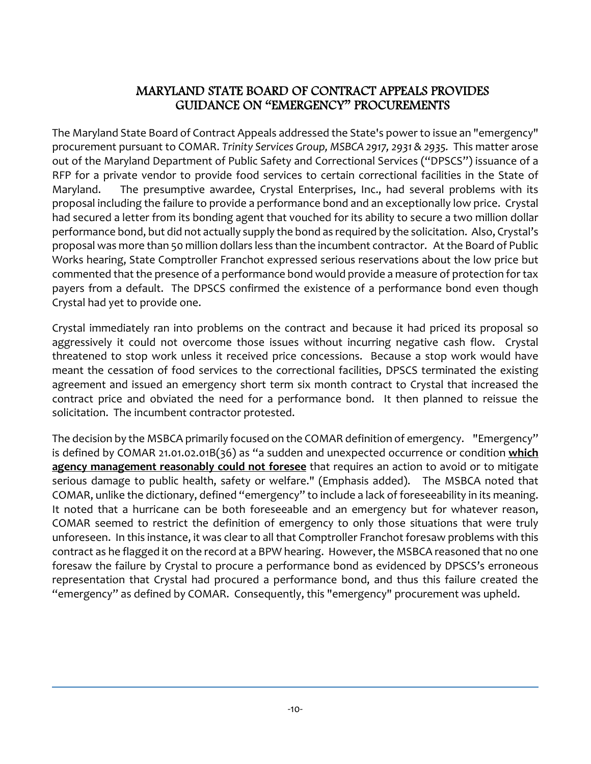#### MARYLAND STATE BOARD OF CONTRACT APPEALS PROVIDES GUIDANCE ON "EMERGENCY" PROCUREMENTS

The Maryland State Board of Contract Appeals addressed the State's power to issue an "emergency" procurement pursuant to COMAR. *Trinity Services Group, MSBCA 2917, 2931 & 2935.* This matter arose out of the Maryland Department of Public Safety and Correctional Services ("DPSCS") issuance of a RFP for a private vendor to provide food services to certain correctional facilities in the State of Maryland. The presumptive awardee, Crystal Enterprises, Inc., had several problems with its proposal including the failure to provide a performance bond and an exceptionally low price. Crystal had secured a letter from its bonding agent that vouched for its ability to secure a two million dollar performance bond, but did not actually supply the bond as required by the solicitation. Also, Crystal's proposal was more than 50 million dollars less than the incumbent contractor. At the Board of Public Works hearing, State Comptroller Franchot expressed serious reservations about the low price but commented that the presence of a performance bond would provide a measure of protection for tax payers from a default. The DPSCS confirmed the existence of a performance bond even though Crystal had yet to provide one.

Crystal immediately ran into problems on the contract and because it had priced its proposal so aggressively it could not overcome those issues without incurring negative cash flow. Crystal threatened to stop work unless it received price concessions. Because a stop work would have meant the cessation of food services to the correctional facilities, DPSCS terminated the existing agreement and issued an emergency short term six month contract to Crystal that increased the contract price and obviated the need for a performance bond. It then planned to reissue the solicitation. The incumbent contractor protested.

The decision by the MSBCA primarily focused on the COMAR definition of emergency. "Emergency" is defined by COMAR 21.01.02.01B(36) as "a sudden and unexpected occurrence or condition **which agency management reasonably could not foresee** that requires an action to avoid or to mitigate serious damage to public health, safety or welfare." (Emphasis added). The MSBCA noted that COMAR, unlike the dictionary, defined "emergency" to include a lack of foreseeability in its meaning. It noted that a hurricane can be both foreseeable and an emergency but for whatever reason, COMAR seemed to restrict the definition of emergency to only those situations that were truly unforeseen. In this instance, it was clear to all that Comptroller Franchot foresaw problems with this contract as he flagged it on the record at a BPW hearing. However, the MSBCA reasoned that no one foresaw the failure by Crystal to procure a performance bond as evidenced by DPSCS's erroneous representation that Crystal had procured a performance bond, and thus this failure created the "emergency" as defined by COMAR. Consequently, this "emergency" procurement was upheld.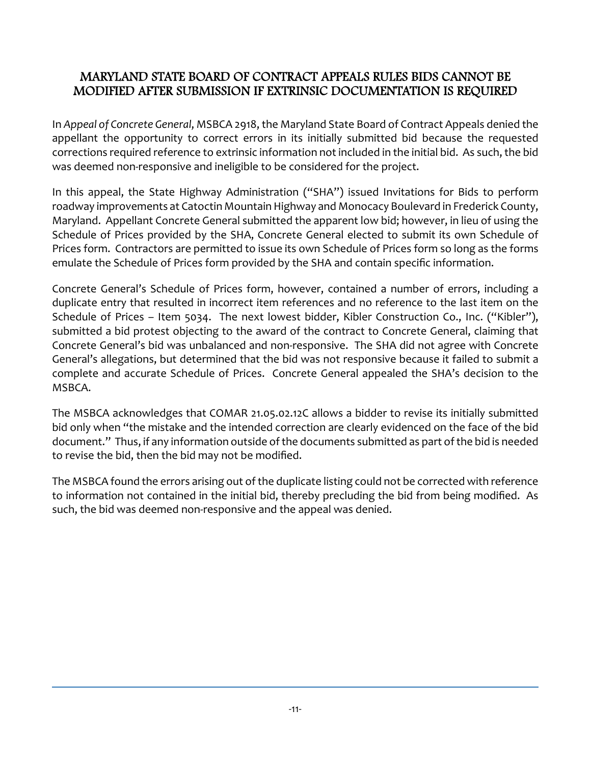#### MARYLAND STATE BOARD OF CONTRACT APPEALS RULES BIDS CANNOT BE MODIFIED AFTER SUBMISSION IF EXTRINSIC DOCUMENTATION IS REQUIRED

In *Appeal of Concrete General*, MSBCA 2918, the Maryland State Board of Contract Appeals denied the appellant the opportunity to correct errors in its initially submitted bid because the requested corrections required reference to extrinsic information not included in the initial bid. As such, the bid was deemed non-responsive and ineligible to be considered for the project.

In this appeal, the State Highway Administration ("SHA") issued Invitations for Bids to perform roadway improvements at Catoctin Mountain Highway and Monocacy Boulevard in Frederick County, Maryland. Appellant Concrete General submitted the apparent low bid; however, in lieu of using the Schedule of Prices provided by the SHA, Concrete General elected to submit its own Schedule of Prices form. Contractors are permitted to issue its own Schedule of Prices form so long as the forms emulate the Schedule of Prices form provided by the SHA and contain specific information.

Concrete General's Schedule of Prices form, however, contained a number of errors, including a duplicate entry that resulted in incorrect item references and no reference to the last item on the Schedule of Prices – Item 5034. The next lowest bidder, Kibler Construction Co., Inc. ("Kibler"), submitted a bid protest objecting to the award of the contract to Concrete General, claiming that Concrete General's bid was unbalanced and non‐responsive. The SHA did not agree with Concrete General's allegations, but determined that the bid was not responsive because it failed to submit a complete and accurate Schedule of Prices. Concrete General appealed the SHA's decision to the MSBCA.

The MSBCA acknowledges that COMAR 21.05.02.12C allows a bidder to revise its initially submitted bid only when "the mistake and the intended correction are clearly evidenced on the face of the bid document." Thus, if any information outside of the documents submitted as part of the bid is needed to revise the bid, then the bid may not be modified.

The MSBCA found the errors arising out of the duplicate listing could not be corrected with reference to information not contained in the initial bid, thereby precluding the bid from being modified. As such, the bid was deemed non-responsive and the appeal was denied.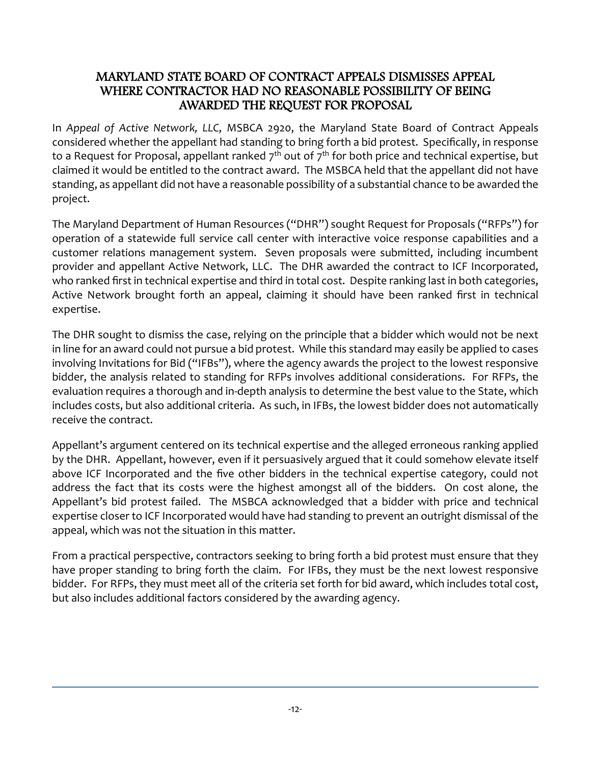#### MARYLAND STATE BOARD OF CONTRACT APPEALS DISMISSES APPEAL WHERE CONTRACTOR HAD NO REASONABLE POSSIBILITY OF BEING AWARDED THE REQUEST FOR PROPOSAL

In *Appeal of Active Network, LLC*, MSBCA 2920, the Maryland State Board of Contract Appeals considered whether the appellant had standing to bring forth a bid protest. Specifically, in response to a Request for Proposal, appellant ranked  $7<sup>th</sup>$  out of  $7<sup>th</sup>$  for both price and technical expertise, but claimed it would be entitled to the contract award. The MSBCA held that the appellant did not have standing, as appellant did not have a reasonable possibility of a substantial chance to be awarded the project.

The Maryland Department of Human Resources ("DHR") sought Request for Proposals ("RFPs") for operation of a statewide full service call center with interactive voice response capabilities and a customer relations management system. Seven proposals were submitted, including incumbent provider and appellant Active Network, LLC. The DHR awarded the contract to ICF Incorporated, who ranked first in technical expertise and third in total cost. Despite ranking last in both categories, Active Network brought forth an appeal, claiming it should have been ranked first in technical expertise.

The DHR sought to dismiss the case, relying on the principle that a bidder which would not be next in line for an award could not pursue a bid protest. While this standard may easily be applied to cases involving Invitations for Bid ("IFBs"), where the agency awards the project to the lowest responsive bidder, the analysis related to standing for RFPs involves additional considerations. For RFPs, the evaluation requires a thorough and in‐depth analysis to determine the best value to the State, which includes costs, but also additional criteria. As such, in IFBs, the lowest bidder does not automatically receive the contract.

Appellant's argument centered on its technical expertise and the alleged erroneous ranking applied by the DHR. Appellant, however, even if it persuasively argued that it could somehow elevate itself above ICF Incorporated and the five other bidders in the technical expertise category, could not address the fact that its costs were the highest amongst all of the bidders. On cost alone, the Appellant's bid protest failed. The MSBCA acknowledged that a bidder with price and technical expertise closer to ICF Incorporated would have had standing to prevent an outright dismissal of the appeal, which was not the situation in this matter.

From a practical perspective, contractors seeking to bring forth a bid protest must ensure that they have proper standing to bring forth the claim. For IFBs, they must be the next lowest responsive bidder. For RFPs, they must meet all of the criteria set forth for bid award, which includes total cost, but also includes additional factors considered by the awarding agency.